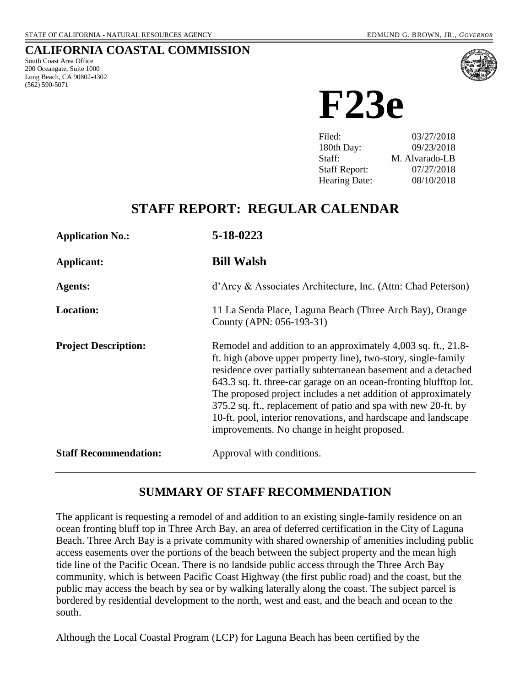### **CALIFORNIA COASTAL COMMISSION**

South Coast Area Office 200 Oceangate, Suite 1000 Long Beach, CA 90802-4302 (562) 590-5071



**F23e**

| 03/27/2018     |
|----------------|
| 09/23/2018     |
| M. Alvarado-LB |
| 07/27/2018     |
| 08/10/2018     |
|                |

# **STAFF REPORT: REGULAR CALENDAR**

| <b>Application No.:</b>      | 5-18-0223                                                                                                                                                                                                                                                                                                                                                                                                                                                                                                                 |
|------------------------------|---------------------------------------------------------------------------------------------------------------------------------------------------------------------------------------------------------------------------------------------------------------------------------------------------------------------------------------------------------------------------------------------------------------------------------------------------------------------------------------------------------------------------|
| Applicant:                   | <b>Bill Walsh</b>                                                                                                                                                                                                                                                                                                                                                                                                                                                                                                         |
| Agents:                      | d'Arcy & Associates Architecture, Inc. (Attn: Chad Peterson)                                                                                                                                                                                                                                                                                                                                                                                                                                                              |
| <b>Location:</b>             | 11 La Senda Place, Laguna Beach (Three Arch Bay), Orange<br>County (APN: 056-193-31)                                                                                                                                                                                                                                                                                                                                                                                                                                      |
| <b>Project Description:</b>  | Remodel and addition to an approximately 4,003 sq. ft., 21.8-<br>ft. high (above upper property line), two-story, single-family<br>residence over partially subterranean basement and a detached<br>643.3 sq. ft. three-car garage on an ocean-fronting blufftop lot.<br>The proposed project includes a net addition of approximately<br>375.2 sq. ft., replacement of patio and spa with new 20-ft. by<br>10-ft. pool, interior renovations, and hardscape and landscape<br>improvements. No change in height proposed. |
| <b>Staff Recommendation:</b> | Approval with conditions.                                                                                                                                                                                                                                                                                                                                                                                                                                                                                                 |

## **SUMMARY OF STAFF RECOMMENDATION**

The applicant is requesting a remodel of and addition to an existing single-family residence on an ocean fronting bluff top in Three Arch Bay, an area of deferred certification in the City of Laguna Beach. Three Arch Bay is a private community with shared ownership of amenities including public access easements over the portions of the beach between the subject property and the mean high tide line of the Pacific Ocean. There is no landside public access through the Three Arch Bay community, which is between Pacific Coast Highway (the first public road) and the coast, but the public may access the beach by sea or by walking laterally along the coast. The subject parcel is bordered by residential development to the north, west and east, and the beach and ocean to the south.

Although the Local Coastal Program (LCP) for Laguna Beach has been certified by the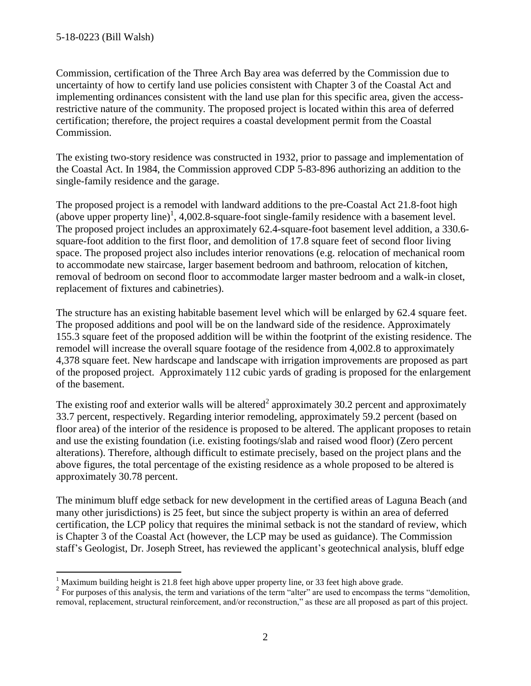$\overline{a}$ 

Commission, certification of the Three Arch Bay area was deferred by the Commission due to uncertainty of how to certify land use policies consistent with Chapter 3 of the Coastal Act and implementing ordinances consistent with the land use plan for this specific area, given the accessrestrictive nature of the community. The proposed project is located within this area of deferred certification; therefore, the project requires a coastal development permit from the Coastal Commission.

The existing two-story residence was constructed in 1932, prior to passage and implementation of the Coastal Act. In 1984, the Commission approved CDP 5-83-896 authorizing an addition to the single-family residence and the garage.

The proposed project is a remodel with landward additions to the pre-Coastal Act 21.8-foot high (above upper property line)<sup>1</sup>, 4,002.8-square-foot single-family residence with a basement level. The proposed project includes an approximately 62.4-square-foot basement level addition, a 330.6 square-foot addition to the first floor, and demolition of 17.8 square feet of second floor living space. The proposed project also includes interior renovations (e.g. relocation of mechanical room to accommodate new staircase, larger basement bedroom and bathroom, relocation of kitchen, removal of bedroom on second floor to accommodate larger master bedroom and a walk-in closet, replacement of fixtures and cabinetries).

The structure has an existing habitable basement level which will be enlarged by 62.4 square feet. The proposed additions and pool will be on the landward side of the residence. Approximately 155.3 square feet of the proposed addition will be within the footprint of the existing residence. The remodel will increase the overall square footage of the residence from 4,002.8 to approximately 4,378 square feet. New hardscape and landscape with irrigation improvements are proposed as part of the proposed project. Approximately 112 cubic yards of grading is proposed for the enlargement of the basement.

The existing roof and exterior walls will be altered<sup>2</sup> approximately 30.2 percent and approximately 33.7 percent, respectively. Regarding interior remodeling, approximately 59.2 percent (based on floor area) of the interior of the residence is proposed to be altered. The applicant proposes to retain and use the existing foundation (i.e. existing footings/slab and raised wood floor) (Zero percent alterations). Therefore, although difficult to estimate precisely, based on the project plans and the above figures, the total percentage of the existing residence as a whole proposed to be altered is approximately 30.78 percent.

The minimum bluff edge setback for new development in the certified areas of Laguna Beach (and many other jurisdictions) is 25 feet, but since the subject property is within an area of deferred certification, the LCP policy that requires the minimal setback is not the standard of review, which is Chapter 3 of the Coastal Act (however, the LCP may be used as guidance). The Commission staff's Geologist, Dr. Joseph Street, has reviewed the applicant's geotechnical analysis, bluff edge

<sup>&</sup>lt;sup>1</sup> Maximum building height is 21.8 feet high above upper property line, or 33 feet high above grade.

<sup>&</sup>lt;sup>2</sup> For purposes of this analysis, the term and variations of the term "alter" are used to encompass the terms "demolition, removal, replacement, structural reinforcement, and/or reconstruction," as these are all proposed as part of this project.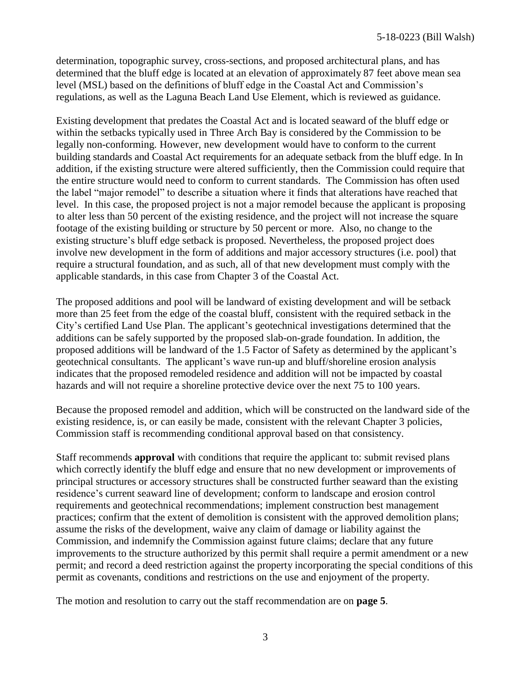determination, topographic survey, cross-sections, and proposed architectural plans, and has determined that the bluff edge is located at an elevation of approximately 87 feet above mean sea level (MSL) based on the definitions of bluff edge in the Coastal Act and Commission's regulations, as well as the Laguna Beach Land Use Element, which is reviewed as guidance.

Existing development that predates the Coastal Act and is located seaward of the bluff edge or within the setbacks typically used in Three Arch Bay is considered by the Commission to be legally non-conforming. However, new development would have to conform to the current building standards and Coastal Act requirements for an adequate setback from the bluff edge. In In addition, if the existing structure were altered sufficiently, then the Commission could require that the entire structure would need to conform to current standards. The Commission has often used the label "major remodel" to describe a situation where it finds that alterations have reached that level. In this case, the proposed project is not a major remodel because the applicant is proposing to alter less than 50 percent of the existing residence, and the project will not increase the square footage of the existing building or structure by 50 percent or more. Also, no change to the existing structure's bluff edge setback is proposed. Nevertheless, the proposed project does involve new development in the form of additions and major accessory structures (i.e. pool) that require a structural foundation, and as such, all of that new development must comply with the applicable standards, in this case from Chapter 3 of the Coastal Act.

The proposed additions and pool will be landward of existing development and will be setback more than 25 feet from the edge of the coastal bluff, consistent with the required setback in the City's certified Land Use Plan. The applicant's geotechnical investigations determined that the additions can be safely supported by the proposed slab-on-grade foundation. In addition, the proposed additions will be landward of the 1.5 Factor of Safety as determined by the applicant's geotechnical consultants. The applicant's wave run-up and bluff/shoreline erosion analysis indicates that the proposed remodeled residence and addition will not be impacted by coastal hazards and will not require a shoreline protective device over the next 75 to 100 years.

Because the proposed remodel and addition, which will be constructed on the landward side of the existing residence, is, or can easily be made, consistent with the relevant Chapter 3 policies, Commission staff is recommending conditional approval based on that consistency.

Staff recommends **approval** with conditions that require the applicant to: submit revised plans which correctly identify the bluff edge and ensure that no new development or improvements of principal structures or accessory structures shall be constructed further seaward than the existing residence's current seaward line of development; conform to landscape and erosion control requirements and geotechnical recommendations; implement construction best management practices; confirm that the extent of demolition is consistent with the approved demolition plans; assume the risks of the development, waive any claim of damage or liability against the Commission, and indemnify the Commission against future claims; declare that any future improvements to the structure authorized by this permit shall require a permit amendment or a new permit; and record a deed restriction against the property incorporating the special conditions of this permit as covenants, conditions and restrictions on the use and enjoyment of the property.

The motion and resolution to carry out the staff recommendation are on **page 5**.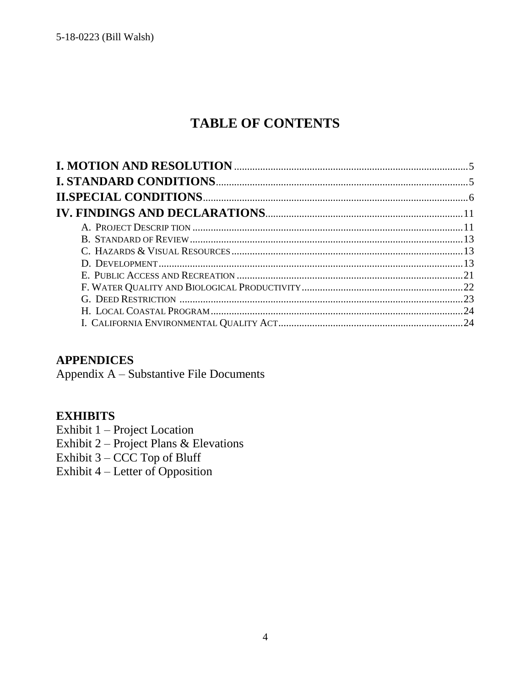# **TABLE OF CONTENTS**

## **APPENDICES**

Appendix A - Substantive File Documents

## **EXHIBITS**

Exhibit 1 - Project Location

Exhibit  $2$  – Project Plans & Elevations

Exhibit  $3 -$  CCC Top of Bluff

Exhibit 4 – Letter of Opposition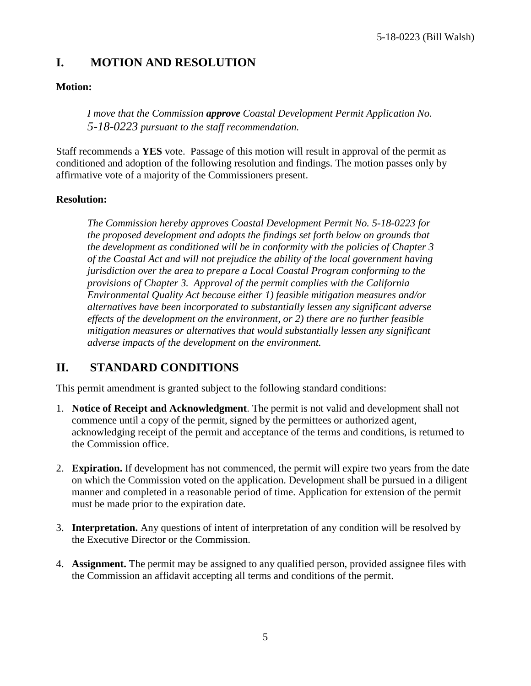# <span id="page-4-0"></span>**I. MOTION AND RESOLUTION**

### **Motion:**

*I move that the Commission approve Coastal Development Permit Application No. 5-18-0223 pursuant to the staff recommendation.*

Staff recommends a **YES** vote. Passage of this motion will result in approval of the permit as conditioned and adoption of the following resolution and findings. The motion passes only by affirmative vote of a majority of the Commissioners present.

### **Resolution:**

<span id="page-4-1"></span>*The Commission hereby approves Coastal Development Permit No. 5-18-0223 for the proposed development and adopts the findings set forth below on grounds that the development as conditioned will be in conformity with the policies of Chapter 3 of the Coastal Act and will not prejudice the ability of the local government having jurisdiction over the area to prepare a Local Coastal Program conforming to the provisions of Chapter 3. Approval of the permit complies with the California Environmental Quality Act because either 1) feasible mitigation measures and/or alternatives have been incorporated to substantially lessen any significant adverse effects of the development on the environment, or 2) there are no further feasible mitigation measures or alternatives that would substantially lessen any significant adverse impacts of the development on the environment.*

# **II. STANDARD CONDITIONS**

This permit amendment is granted subject to the following standard conditions:

- 1. **Notice of Receipt and Acknowledgment**. The permit is not valid and development shall not commence until a copy of the permit, signed by the permittees or authorized agent, acknowledging receipt of the permit and acceptance of the terms and conditions, is returned to the Commission office.
- 2. **Expiration.** If development has not commenced, the permit will expire two years from the date on which the Commission voted on the application. Development shall be pursued in a diligent manner and completed in a reasonable period of time. Application for extension of the permit must be made prior to the expiration date.
- 3. **Interpretation.** Any questions of intent of interpretation of any condition will be resolved by the Executive Director or the Commission.
- 4. **Assignment.** The permit may be assigned to any qualified person, provided assignee files with the Commission an affidavit accepting all terms and conditions of the permit.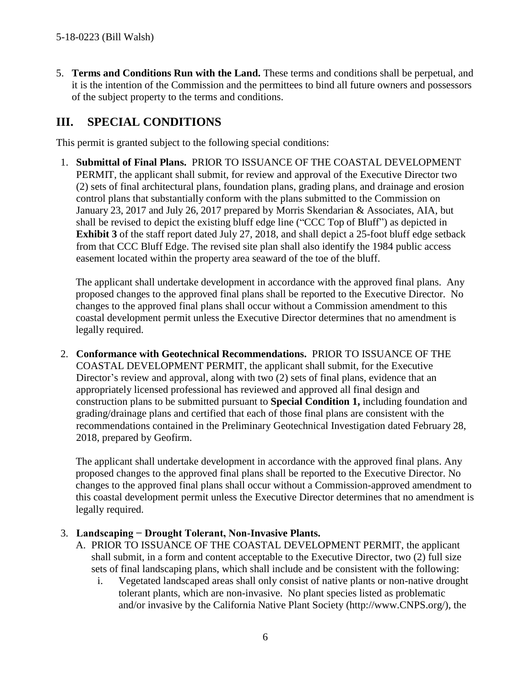5. **Terms and Conditions Run with the Land.** These terms and conditions shall be perpetual, and it is the intention of the Commission and the permittees to bind all future owners and possessors of the subject property to the terms and conditions.

# <span id="page-5-0"></span>**III. SPECIAL CONDITIONS**

This permit is granted subject to the following special conditions:

1. **Submittal of Final Plans.** PRIOR TO ISSUANCE OF THE COASTAL DEVELOPMENT PERMIT, the applicant shall submit, for review and approval of the Executive Director two (2) sets of final architectural plans, foundation plans, grading plans, and drainage and erosion control plans that substantially conform with the plans submitted to the Commission on January 23, 2017 and July 26, 2017 prepared by Morris Skendarian & Associates, AIA, but shall be revised to depict the existing bluff edge line ("CCC Top of Bluff") as depicted in **[Exhibit 3](https://documents.coastal.ca.gov/reports/2018/8/f23e/f23e-8-2018-exhibits.pdf)** of the staff report dated July 27, 2018, and shall depict a 25-foot bluff edge setback from that CCC Bluff Edge. The revised site plan shall also identify the 1984 public access easement located within the property area seaward of the toe of the bluff.

The applicant shall undertake development in accordance with the approved final plans. Any proposed changes to the approved final plans shall be reported to the Executive Director. No changes to the approved final plans shall occur without a Commission amendment to this coastal development permit unless the Executive Director determines that no amendment is legally required.

2. **Conformance with Geotechnical Recommendations.** PRIOR TO ISSUANCE OF THE COASTAL DEVELOPMENT PERMIT, the applicant shall submit, for the Executive Director's review and approval, along with two (2) sets of final plans, evidence that an appropriately licensed professional has reviewed and approved all final design and construction plans to be submitted pursuant to **Special Condition 1,** including foundation and grading/drainage plans and certified that each of those final plans are consistent with the recommendations contained in the Preliminary Geotechnical Investigation dated February 28, 2018, prepared by Geofirm.

The applicant shall undertake development in accordance with the approved final plans. Any proposed changes to the approved final plans shall be reported to the Executive Director. No changes to the approved final plans shall occur without a Commission-approved amendment to this coastal development permit unless the Executive Director determines that no amendment is legally required.

### 3. **Landscaping − Drought Tolerant, Non-Invasive Plants.**

- A. PRIOR TO ISSUANCE OF THE COASTAL DEVELOPMENT PERMIT, the applicant shall submit, in a form and content acceptable to the Executive Director, two (2) full size sets of final landscaping plans, which shall include and be consistent with the following:
	- i. Vegetated landscaped areas shall only consist of native plants or non-native drought tolerant plants, which are non-invasive. No plant species listed as problematic and/or invasive by the California Native Plant Society (http://www.CNPS.org/), the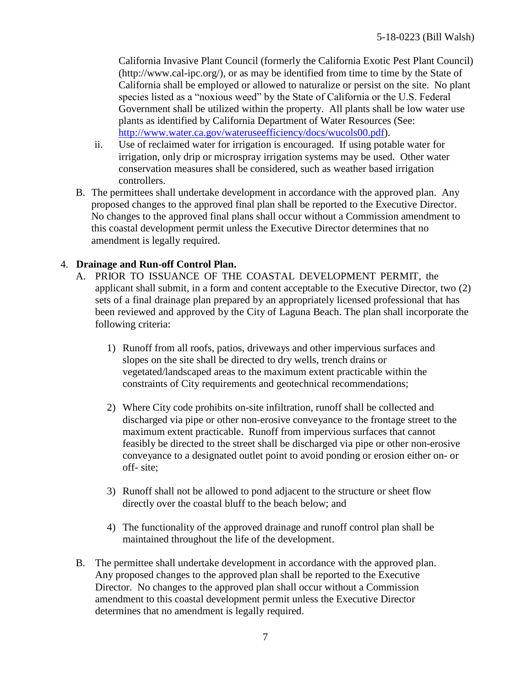California Invasive Plant Council (formerly the California Exotic Pest Plant Council) (http://www.cal-ipc.org/), or as may be identified from time to time by the State of California shall be employed or allowed to naturalize or persist on the site. No plant species listed as a "noxious weed" by the State of California or the U.S. Federal Government shall be utilized within the property. All plants shall be low water use plants as identified by California Department of Water Resources (See: [http://www.water.ca.gov/wateruseefficiency/docs/wucols00.pdf\)](http://www.water.ca.gov/wateruseefficiency/docs/wucols00.pdf).

- ii. Use of reclaimed water for irrigation is encouraged. If using potable water for irrigation, only drip or microspray irrigation systems may be used. Other water conservation measures shall be considered, such as weather based irrigation controllers.
- B. The permittees shall undertake development in accordance with the approved plan. Any proposed changes to the approved final plan shall be reported to the Executive Director. No changes to the approved final plans shall occur without a Commission amendment to this coastal development permit unless the Executive Director determines that no amendment is legally required.

### 4. **Drainage and Run-off Control Plan.**

- A. PRIOR TO ISSUANCE OF THE COASTAL DEVELOPMENT PERMIT, the applicant shall submit, in a form and content acceptable to the Executive Director, two (2) sets of a final drainage plan prepared by an appropriately licensed professional that has been reviewed and approved by the City of Laguna Beach. The plan shall incorporate the following criteria:
	- 1) Runoff from all roofs, patios, driveways and other impervious surfaces and slopes on the site shall be directed to dry wells, trench drains or vegetated/landscaped areas to the maximum extent practicable within the constraints of City requirements and geotechnical recommendations;
	- 2) Where City code prohibits on-site infiltration, runoff shall be collected and discharged via pipe or other non-erosive conveyance to the frontage street to the maximum extent practicable. Runoff from impervious surfaces that cannot feasibly be directed to the street shall be discharged via pipe or other non-erosive conveyance to a designated outlet point to avoid ponding or erosion either on- or off- site;
	- 3) Runoff shall not be allowed to pond adjacent to the structure or sheet flow directly over the coastal bluff to the beach below; and
	- 4) The functionality of the approved drainage and runoff control plan shall be maintained throughout the life of the development.
- B. The permittee shall undertake development in accordance with the approved plan. Any proposed changes to the approved plan shall be reported to the Executive Director. No changes to the approved plan shall occur without a Commission amendment to this coastal development permit unless the Executive Director determines that no amendment is legally required.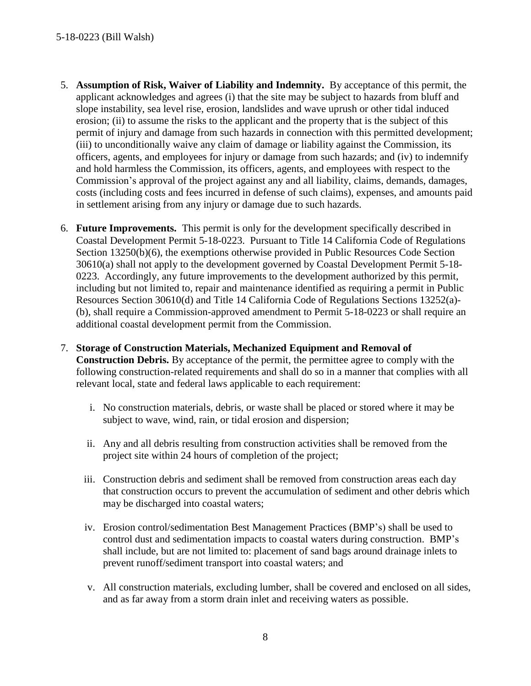- 5. **Assumption of Risk, Waiver of Liability and Indemnity.** By acceptance of this permit, the applicant acknowledges and agrees (i) that the site may be subject to hazards from bluff and slope instability, sea level rise, erosion, landslides and wave uprush or other tidal induced erosion; (ii) to assume the risks to the applicant and the property that is the subject of this permit of injury and damage from such hazards in connection with this permitted development; (iii) to unconditionally waive any claim of damage or liability against the Commission, its officers, agents, and employees for injury or damage from such hazards; and (iv) to indemnify and hold harmless the Commission, its officers, agents, and employees with respect to the Commission's approval of the project against any and all liability, claims, demands, damages, costs (including costs and fees incurred in defense of such claims), expenses, and amounts paid in settlement arising from any injury or damage due to such hazards.
- 6. **Future Improvements.** This permit is only for the development specifically described in Coastal Development Permit 5-18-0223. Pursuant to Title 14 California Code of Regulations Section 13250(b)(6), the exemptions otherwise provided in Public Resources Code Section 30610(a) shall not apply to the development governed by Coastal Development Permit 5-18- 0223. Accordingly, any future improvements to the development authorized by this permit, including but not limited to, repair and maintenance identified as requiring a permit in Public Resources Section 30610(d) and Title 14 California Code of Regulations Sections 13252(a)- (b), shall require a Commission-approved amendment to Permit 5-18-0223 or shall require an additional coastal development permit from the Commission.
- 7. **Storage of Construction Materials, Mechanized Equipment and Removal of Construction Debris.** By acceptance of the permit, the permittee agree to comply with the following construction-related requirements and shall do so in a manner that complies with all relevant local, state and federal laws applicable to each requirement:
	- i. No construction materials, debris, or waste shall be placed or stored where it may be subject to wave, wind, rain, or tidal erosion and dispersion;
	- ii. Any and all debris resulting from construction activities shall be removed from the project site within 24 hours of completion of the project;
	- iii. Construction debris and sediment shall be removed from construction areas each day that construction occurs to prevent the accumulation of sediment and other debris which may be discharged into coastal waters;
	- iv. Erosion control/sedimentation Best Management Practices (BMP's) shall be used to control dust and sedimentation impacts to coastal waters during construction. BMP's shall include, but are not limited to: placement of sand bags around drainage inlets to prevent runoff/sediment transport into coastal waters; and
	- v. All construction materials, excluding lumber, shall be covered and enclosed on all sides, and as far away from a storm drain inlet and receiving waters as possible.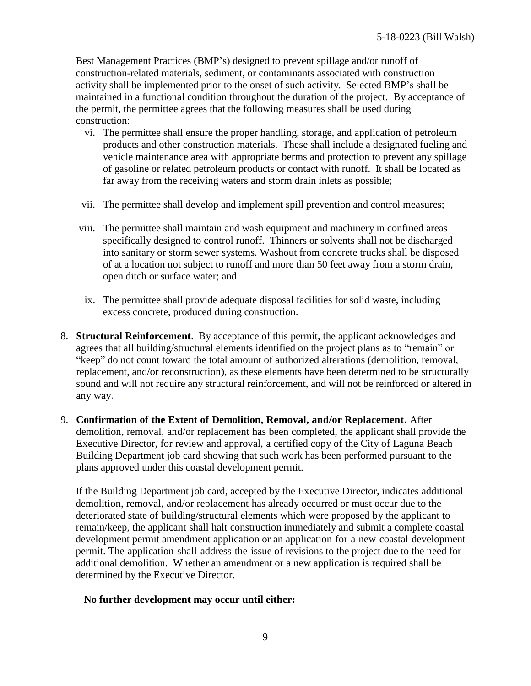Best Management Practices (BMP's) designed to prevent spillage and/or runoff of construction-related materials, sediment, or contaminants associated with construction activity shall be implemented prior to the onset of such activity. Selected BMP's shall be maintained in a functional condition throughout the duration of the project. By acceptance of the permit, the permittee agrees that the following measures shall be used during construction:

- vi. The permittee shall ensure the proper handling, storage, and application of petroleum products and other construction materials. These shall include a designated fueling and vehicle maintenance area with appropriate berms and protection to prevent any spillage of gasoline or related petroleum products or contact with runoff. It shall be located as far away from the receiving waters and storm drain inlets as possible;
- vii. The permittee shall develop and implement spill prevention and control measures;
- viii. The permittee shall maintain and wash equipment and machinery in confined areas specifically designed to control runoff. Thinners or solvents shall not be discharged into sanitary or storm sewer systems. Washout from concrete trucks shall be disposed of at a location not subject to runoff and more than 50 feet away from a storm drain, open ditch or surface water; and
- ix. The permittee shall provide adequate disposal facilities for solid waste, including excess concrete, produced during construction.
- 8. **Structural Reinforcement**. By acceptance of this permit, the applicant acknowledges and agrees that all building/structural elements identified on the project plans as to "remain" or "keep" do not count toward the total amount of authorized alterations (demolition, removal, replacement, and/or reconstruction), as these elements have been determined to be structurally sound and will not require any structural reinforcement, and will not be reinforced or altered in any way.
- 9. **Confirmation of the Extent of Demolition, Removal, and/or Replacement.** After demolition, removal, and/or replacement has been completed, the applicant shall provide the Executive Director, for review and approval, a certified copy of the City of Laguna Beach Building Department job card showing that such work has been performed pursuant to the plans approved under this coastal development permit.

If the Building Department job card, accepted by the Executive Director, indicates additional demolition, removal, and/or replacement has already occurred or must occur due to the deteriorated state of building/structural elements which were proposed by the applicant to remain/keep, the applicant shall halt construction immediately and submit a complete coastal development permit amendment application or an application for a new coastal development permit. The application shall address the issue of revisions to the project due to the need for additional demolition. Whether an amendment or a new application is required shall be determined by the Executive Director.

#### **No further development may occur until either:**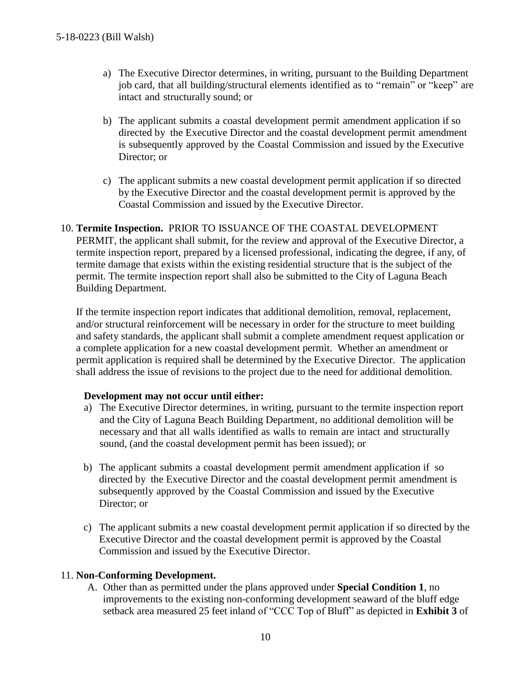- a) The Executive Director determines, in writing, pursuant to the Building Department job card, that all building/structural elements identified as to "remain" or "keep" are intact and structurally sound; or
- b) The applicant submits a coastal development permit amendment application if so directed by the Executive Director and the coastal development permit amendment is subsequently approved by the Coastal Commission and issued by the Executive Director; or
- c) The applicant submits a new coastal development permit application if so directed by the Executive Director and the coastal development permit is approved by the Coastal Commission and issued by the Executive Director.
- 10. **Termite Inspection.** PRIOR TO ISSUANCE OF THE COASTAL DEVELOPMENT PERMIT, the applicant shall submit, for the review and approval of the Executive Director, a termite inspection report, prepared by a licensed professional, indicating the degree, if any, of termite damage that exists within the existing residential structure that is the subject of the permit. The termite inspection report shall also be submitted to the City of Laguna Beach Building Department.

If the termite inspection report indicates that additional demolition, removal, replacement, and/or structural reinforcement will be necessary in order for the structure to meet building and safety standards, the applicant shall submit a complete amendment request application or a complete application for a new coastal development permit. Whether an amendment or permit application is required shall be determined by the Executive Director. The application shall address the issue of revisions to the project due to the need for additional demolition.

#### **Development may not occur until either:**

- a) The Executive Director determines, in writing, pursuant to the termite inspection report and the City of Laguna Beach Building Department, no additional demolition will be necessary and that all walls identified as walls to remain are intact and structurally sound, (and the coastal development permit has been issued); or
- b) The applicant submits a coastal development permit amendment application if so directed by the Executive Director and the coastal development permit amendment is subsequently approved by the Coastal Commission and issued by the Executive Director; or
- c) The applicant submits a new coastal development permit application if so directed by the Executive Director and the coastal development permit is approved by the Coastal Commission and issued by the Executive Director.

#### 11. **Non-Conforming Development.**

A. Other than as permitted under the plans approved under **Special Condition 1**, no improvements to the existing non-conforming development seaward of the bluff edge setback area measured 25 feet inland of "CCC Top of Bluff" as depicted in **[Exhibit 3](https://documents.coastal.ca.gov/reports/2018/8/f23e/f23e-8-2018-exhibits.pdf)** of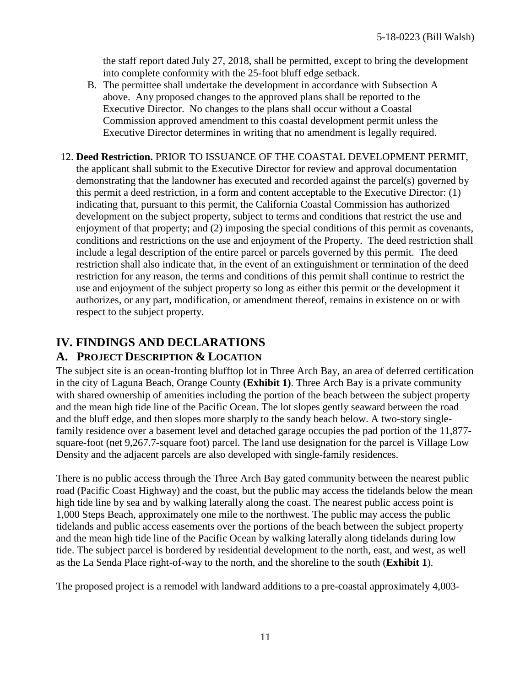the staff report dated July 27, 2018, shall be permitted, except to bring the development into complete conformity with the 25-foot bluff edge setback.

- B. The permittee shall undertake the development in accordance with Subsection A above. Any proposed changes to the approved plans shall be reported to the Executive Director. No changes to the plans shall occur without a Coastal Commission approved amendment to this coastal development permit unless the Executive Director determines in writing that no amendment is legally required.
- 12. **Deed Restriction.** PRIOR TO ISSUANCE OF THE COASTAL DEVELOPMENT PERMIT, the applicant shall submit to the Executive Director for review and approval documentation demonstrating that the landowner has executed and recorded against the parcel(s) governed by this permit a deed restriction, in a form and content acceptable to the Executive Director: (1) indicating that, pursuant to this permit, the California Coastal Commission has authorized development on the subject property, subject to terms and conditions that restrict the use and enjoyment of that property; and (2) imposing the special conditions of this permit as covenants, conditions and restrictions on the use and enjoyment of the Property. The deed restriction shall include a legal description of the entire parcel or parcels governed by this permit. The deed restriction shall also indicate that, in the event of an extinguishment or termination of the deed restriction for any reason, the terms and conditions of this permit shall continue to restrict the use and enjoyment of the subject property so long as either this permit or the development it authorizes, or any part, modification, or amendment thereof, remains in existence on or with respect to the subject property.

# <span id="page-10-0"></span>**IV. FINDINGS AND DECLARATIONS**

## <span id="page-10-1"></span>**A. PROJECT DESCRIPTION & LOCATION**

The subject site is an ocean-fronting blufftop lot in Three Arch Bay, an area of deferred certification in the city of Laguna Beach, Orange County **[\(Exhibit 1\)](https://documents.coastal.ca.gov/reports/2018/8/f23e/f23e-8-2018-exhibits.pdf)**. Three Arch Bay is a private community with shared ownership of amenities including the portion of the beach between the subject property and the mean high tide line of the Pacific Ocean. The lot slopes gently seaward between the road and the bluff edge, and then slopes more sharply to the sandy beach below. A two-story singlefamily residence over a basement level and detached garage occupies the pad portion of the 11,877 square-foot (net 9,267.7-square foot) parcel. The land use designation for the parcel is Village Low Density and the adjacent parcels are also developed with single-family residences.

There is no public access through the Three Arch Bay gated community between the nearest public road (Pacific Coast Highway) and the coast, but the public may access the tidelands below the mean high tide line by sea and by walking laterally along the coast. The nearest public access point is 1,000 Steps Beach, approximately one mile to the northwest. The public may access the public tidelands and public access easements over the portions of the beach between the subject property and the mean high tide line of the Pacific Ocean by walking laterally along tidelands during low tide. The subject parcel is bordered by residential development to the north, east, and west, as well as the La Senda Place right-of-way to the north, and the shoreline to the south (**[Exhibit 1](https://documents.coastal.ca.gov/reports/2018/8/f23e/f23e-8-2018-exhibits.pdf)**).

The proposed project is a remodel with landward additions to a pre-coastal approximately 4,003-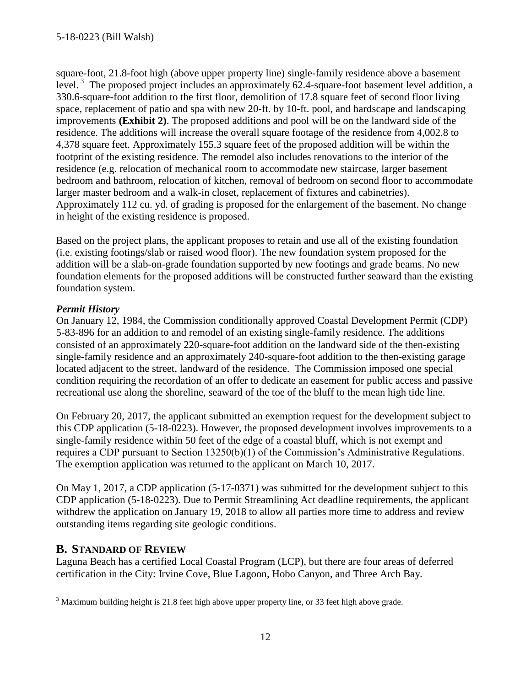square-foot, 21.8-foot high (above upper property line) single-family residence above a basement level.<sup>3</sup> The proposed project includes an approximately 62.4-square-foot basement level addition, a 330.6-square-foot addition to the first floor, demolition of 17.8 square feet of second floor living space, replacement of patio and spa with new 20-ft. by 10-ft. pool, and hardscape and landscaping improvements **[\(Exhibit 2\)](https://documents.coastal.ca.gov/reports/2018/8/f23e/f23e-8-2018-exhibits.pdf)**. The proposed additions and pool will be on the landward side of the residence. The additions will increase the overall square footage of the residence from 4,002.8 to 4,378 square feet. Approximately 155.3 square feet of the proposed addition will be within the footprint of the existing residence. The remodel also includes renovations to the interior of the residence (e.g. relocation of mechanical room to accommodate new staircase, larger basement bedroom and bathroom, relocation of kitchen, removal of bedroom on second floor to accommodate larger master bedroom and a walk-in closet, replacement of fixtures and cabinetries). Approximately 112 cu. yd. of grading is proposed for the enlargement of the basement. No change in height of the existing residence is proposed.

Based on the project plans, the applicant proposes to retain and use all of the existing foundation (i.e. existing footings/slab or raised wood floor). The new foundation system proposed for the addition will be a slab-on-grade foundation supported by new footings and grade beams. No new foundation elements for the proposed additions will be constructed further seaward than the existing foundation system.

### *Permit History*

On January 12, 1984, the Commission conditionally approved Coastal Development Permit (CDP) 5-83-896 for an addition to and remodel of an existing single-family residence. The additions consisted of an approximately 220-square-foot addition on the landward side of the then-existing single-family residence and an approximately 240-square-foot addition to the then-existing garage located adjacent to the street, landward of the residence. The Commission imposed one special condition requiring the recordation of an offer to dedicate an easement for public access and passive recreational use along the shoreline, seaward of the toe of the bluff to the mean high tide line.

On February 20, 2017, the applicant submitted an exemption request for the development subject to this CDP application (5-18-0223). However, the proposed development involves improvements to a single-family residence within 50 feet of the edge of a coastal bluff, which is not exempt and requires a CDP pursuant to Section 13250(b)(1) of the Commission's Administrative Regulations. The exemption application was returned to the applicant on March 10, 2017.

On May 1, 2017, a CDP application (5-17-0371) was submitted for the development subject to this CDP application (5-18-0223). Due to Permit Streamlining Act deadline requirements, the applicant withdrew the application on January 19, 2018 to allow all parties more time to address and review outstanding items regarding site geologic conditions.

## **B. STANDARD OF REVIEW**

Laguna Beach has a certified Local Coastal Program (LCP), but there are four areas of deferred certification in the City: Irvine Cove, Blue Lagoon, Hobo Canyon, and Three Arch Bay.

 $\overline{a}$  $3$  Maximum building height is 21.8 feet high above upper property line, or 33 feet high above grade.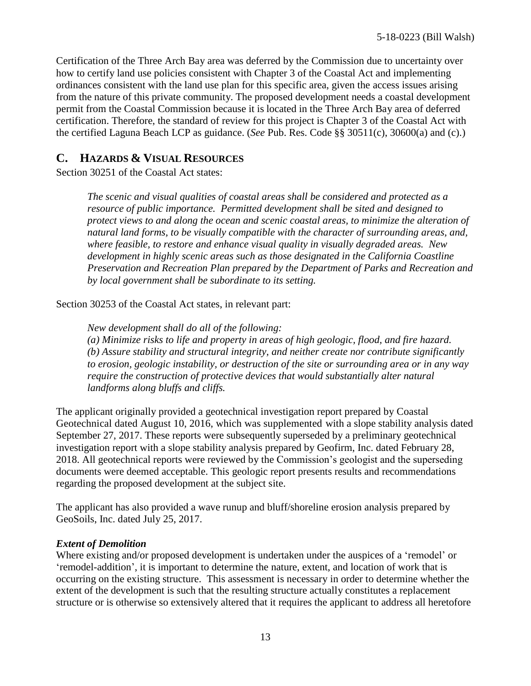Certification of the Three Arch Bay area was deferred by the Commission due to uncertainty over how to certify land use policies consistent with Chapter 3 of the Coastal Act and implementing ordinances consistent with the land use plan for this specific area, given the access issues arising from the nature of this private community. The proposed development needs a coastal development permit from the Coastal Commission because it is located in the Three Arch Bay area of deferred certification. Therefore, the standard of review for this project is Chapter 3 of the Coastal Act with the certified Laguna Beach LCP as guidance. (*See* Pub. Res. Code §§ 30511(c), 30600(a) and (c).)

## <span id="page-12-0"></span>**C. HAZARDS & VISUAL RESOURCES**

Section 30251 of the Coastal Act states:

*The scenic and visual qualities of coastal areas shall be considered and protected as a resource of public importance. Permitted development shall be sited and designed to protect views to and along the ocean and scenic coastal areas, to minimize the alteration of natural land forms, to be visually compatible with the character of surrounding areas, and, where feasible, to restore and enhance visual quality in visually degraded areas. New development in highly scenic areas such as those designated in the California Coastline Preservation and Recreation Plan prepared by the Department of Parks and Recreation and by local government shall be subordinate to its setting.*

Section 30253 of the Coastal Act states, in relevant part:

*New development shall do all of the following: (a) Minimize risks to life and property in areas of high geologic, flood, and fire hazard. (b) Assure stability and structural integrity, and neither create nor contribute significantly to erosion, geologic instability, or destruction of the site or surrounding area or in any way require the construction of protective devices that would substantially alter natural landforms along bluffs and cliffs.*

The applicant originally provided a geotechnical investigation report prepared by Coastal Geotechnical dated August 10, 2016, which was supplemented with a slope stability analysis dated September 27, 2017. These reports were subsequently superseded by a preliminary geotechnical investigation report with a slope stability analysis prepared by Geofirm, Inc. dated February 28, 2018. All geotechnical reports were reviewed by the Commission's geologist and the superseding documents were deemed acceptable. This geologic report presents results and recommendations regarding the proposed development at the subject site.

The applicant has also provided a wave runup and bluff/shoreline erosion analysis prepared by GeoSoils, Inc. dated July 25, 2017.

### *Extent of Demolition*

Where existing and/or proposed development is undertaken under the auspices of a 'remodel' or 'remodel-addition', it is important to determine the nature, extent, and location of work that is occurring on the existing structure. This assessment is necessary in order to determine whether the extent of the development is such that the resulting structure actually constitutes a replacement structure or is otherwise so extensively altered that it requires the applicant to address all heretofore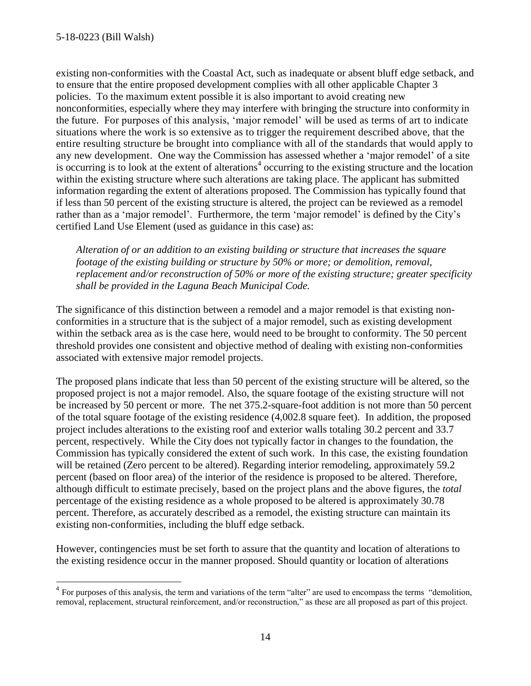existing non-conformities with the Coastal Act, such as inadequate or absent bluff edge setback, and to ensure that the entire proposed development complies with all other applicable Chapter 3 policies. To the maximum extent possible it is also important to avoid creating new nonconformities, especially where they may interfere with bringing the structure into conformity in the future. For purposes of this analysis, 'major remodel' will be used as terms of art to indicate situations where the work is so extensive as to trigger the requirement described above, that the entire resulting structure be brought into compliance with all of the standards that would apply to any new development. One way the Commission has assessed whether a 'major remodel' of a site is occurring is to look at the extent of alterations<sup>4</sup> occurring to the existing structure and the location within the existing structure where such alterations are taking place. The applicant has submitted information regarding the extent of alterations proposed. The Commission has typically found that if less than 50 percent of the existing structure is altered, the project can be reviewed as a remodel rather than as a 'major remodel'. Furthermore, the term 'major remodel' is defined by the City's certified Land Use Element (used as guidance in this case) as:

*Alteration of or an addition to an existing building or structure that increases the square footage of the existing building or structure by 50% or more; or demolition, removal, replacement and/or reconstruction of 50% or more of the existing structure; greater specificity shall be provided in the Laguna Beach Municipal Code.*

The significance of this distinction between a remodel and a major remodel is that existing nonconformities in a structure that is the subject of a major remodel, such as existing development within the setback area as is the case here, would need to be brought to conformity. The 50 percent threshold provides one consistent and objective method of dealing with existing non-conformities associated with extensive major remodel projects.

The proposed plans indicate that less than 50 percent of the existing structure will be altered, so the proposed project is not a major remodel. Also, the square footage of the existing structure will not be increased by 50 percent or more. The net 375.2-square-foot addition is not more than 50 percent of the total square footage of the existing residence (4,002.8 square feet). In addition, the proposed project includes alterations to the existing roof and exterior walls totaling 30.2 percent and 33.7 percent, respectively. While the City does not typically factor in changes to the foundation, the Commission has typically considered the extent of such work. In this case, the existing foundation will be retained (Zero percent to be altered). Regarding interior remodeling, approximately 59.2 percent (based on floor area) of the interior of the residence is proposed to be altered. Therefore, although difficult to estimate precisely, based on the project plans and the above figures, the *total* percentage of the existing residence as a whole proposed to be altered is approximately 30.78 percent. Therefore, as accurately described as a remodel, the existing structure can maintain its existing non-conformities, including the bluff edge setback.

However, contingencies must be set forth to assure that the quantity and location of alterations to the existing residence occur in the manner proposed. Should quantity or location of alterations

 4 For purposes of this analysis, the term and variations of the term "alter" are used to encompass the terms "demolition, removal, replacement, structural reinforcement, and/or reconstruction," as these are all proposed as part of this project.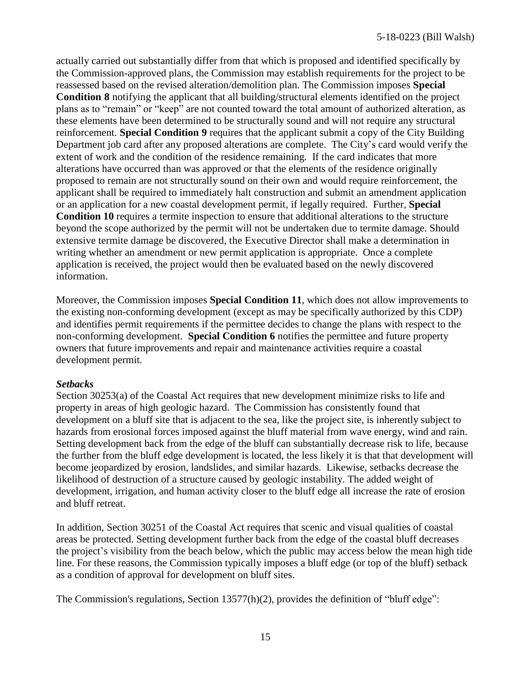actually carried out substantially differ from that which is proposed and identified specifically by the Commission-approved plans, the Commission may establish requirements for the project to be reassessed based on the revised alteration/demolition plan. The Commission imposes **Special Condition 8** notifying the applicant that all building/structural elements identified on the project plans as to "remain" or "keep" are not counted toward the total amount of authorized alteration, as these elements have been determined to be structurally sound and will not require any structural reinforcement. **Special Condition 9** requires that the applicant submit a copy of the City Building Department job card after any proposed alterations are complete. The City's card would verify the extent of work and the condition of the residence remaining. If the card indicates that more alterations have occurred than was approved or that the elements of the residence originally proposed to remain are not structurally sound on their own and would require reinforcement, the applicant shall be required to immediately halt construction and submit an amendment application or an application for a new coastal development permit, if legally required. Further, **Special Condition 10** requires a termite inspection to ensure that additional alterations to the structure beyond the scope authorized by the permit will not be undertaken due to termite damage. Should extensive termite damage be discovered, the Executive Director shall make a determination in writing whether an amendment or new permit application is appropriate. Once a complete application is received, the project would then be evaluated based on the newly discovered information.

Moreover, the Commission imposes **Special Condition 11**, which does not allow improvements to the existing non-conforming development (except as may be specifically authorized by this CDP) and identifies permit requirements if the permittee decides to change the plans with respect to the non-conforming development. **Special Condition 6** notifies the permittee and future property owners that future improvements and repair and maintenance activities require a coastal development permit.

### *Setbacks*

Section 30253(a) of the Coastal Act requires that new development minimize risks to life and property in areas of high geologic hazard. The Commission has consistently found that development on a bluff site that is adjacent to the sea, like the project site, is inherently subject to hazards from erosional forces imposed against the bluff material from wave energy, wind and rain. Setting development back from the edge of the bluff can substantially decrease risk to life, because the further from the bluff edge development is located, the less likely it is that that development will become jeopardized by erosion, landslides, and similar hazards. Likewise, setbacks decrease the likelihood of destruction of a structure caused by geologic instability. The added weight of development, irrigation, and human activity closer to the bluff edge all increase the rate of erosion and bluff retreat.

In addition, Section 30251 of the Coastal Act requires that scenic and visual qualities of coastal areas be protected. Setting development further back from the edge of the coastal bluff decreases the project's visibility from the beach below, which the public may access below the mean high tide line. For these reasons, the Commission typically imposes a bluff edge (or top of the bluff) setback as a condition of approval for development on bluff sites.

The Commission's regulations, Section 13577(h)(2), provides the definition of "bluff edge":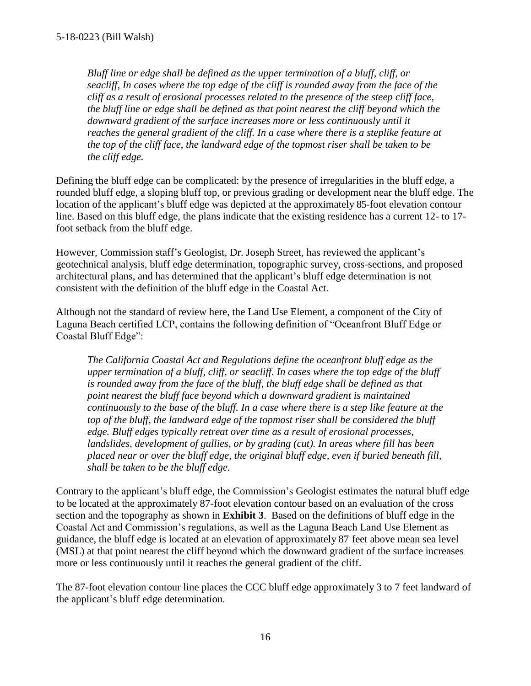*Bluff line or edge shall be defined as the upper termination of a bluff, cliff, or seacliff, In cases where the top edge of the cliff is rounded away from the face of the cliff as a result of erosional processes related to the presence of the steep cliff face, the bluff line or edge shall be defined as that point nearest the cliff beyond which the downward gradient of the surface increases more or less continuously until it reaches the general gradient of the cliff. In a case where there is a steplike feature at the top of the cliff face, the landward edge of the topmost riser shall be taken to be the cliff edge.* 

Defining the bluff edge can be complicated: by the presence of irregularities in the bluff edge, a rounded bluff edge, a sloping bluff top, or previous grading or development near the bluff edge. The location of the applicant's bluff edge was depicted at the approximately 85-foot elevation contour line. Based on this bluff edge, the plans indicate that the existing residence has a current 12- to 17 foot setback from the bluff edge.

However, Commission staff's Geologist, Dr. Joseph Street, has reviewed the applicant's geotechnical analysis, bluff edge determination, topographic survey, cross-sections, and proposed architectural plans, and has determined that the applicant's bluff edge determination is not consistent with the definition of the bluff edge in the Coastal Act.

Although not the standard of review here, the Land Use Element, a component of the City of Laguna Beach certified LCP, contains the following definition of "Oceanfront Bluff Edge or Coastal Bluff Edge":

*The California Coastal Act and Regulations define the oceanfront bluff edge as the upper termination of a bluff, cliff, or seacliff. In cases where the top edge of the bluff is rounded away from the face of the bluff, the bluff edge shall be defined as that point nearest the bluff face beyond which a downward gradient is maintained continuously to the base of the bluff. In a case where there is a step like feature at the top of the bluff, the landward edge of the topmost riser shall be considered the bluff edge. Bluff edges typically retreat over time as a result of erosional processes, landslides, development of gullies, or by grading (cut). In areas where fill has been placed near or over the bluff edge, the original bluff edge, even if buried beneath fill, shall be taken to be the bluff edge.* 

Contrary to the applicant's bluff edge, the Commission's Geologist estimates the natural bluff edge to be located at the approximately 87-foot elevation contour based on an evaluation of the cross section and the topography as shown in **[Exhibit 3](https://documents.coastal.ca.gov/reports/2018/8/f23e/f23e-8-2018-exhibits.pdf)**. Based on the definitions of bluff edge in the Coastal Act and Commission's regulations, as well as the Laguna Beach Land Use Element as guidance, the bluff edge is located at an elevation of approximately 87 feet above mean sea level (MSL) at that point nearest the cliff beyond which the downward gradient of the surface increases more or less continuously until it reaches the general gradient of the cliff.

The 87-foot elevation contour line places the CCC bluff edge approximately 3 to 7 feet landward of the applicant's bluff edge determination.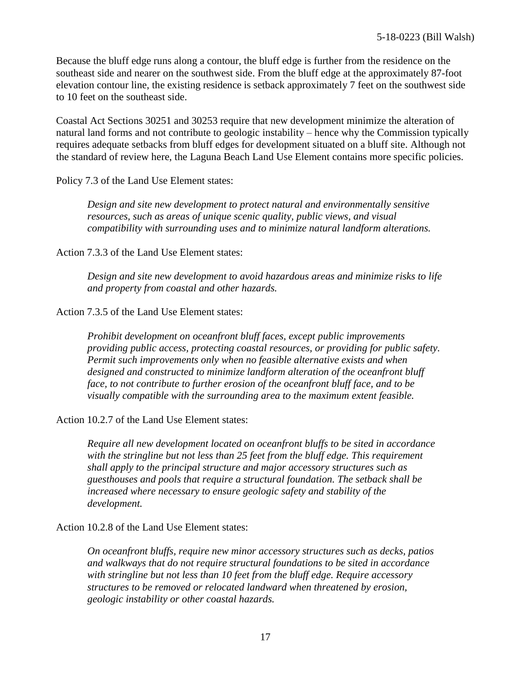Because the bluff edge runs along a contour, the bluff edge is further from the residence on the southeast side and nearer on the southwest side. From the bluff edge at the approximately 87-foot elevation contour line, the existing residence is setback approximately 7 feet on the southwest side to 10 feet on the southeast side.

Coastal Act Sections 30251 and 30253 require that new development minimize the alteration of natural land forms and not contribute to geologic instability – hence why the Commission typically requires adequate setbacks from bluff edges for development situated on a bluff site. Although not the standard of review here, the Laguna Beach Land Use Element contains more specific policies.

Policy 7.3 of the Land Use Element states:

*Design and site new development to protect natural and environmentally sensitive resources, such as areas of unique scenic quality, public views, and visual compatibility with surrounding uses and to minimize natural landform alterations.*

Action 7.3.3 of the Land Use Element states:

*Design and site new development to avoid hazardous areas and minimize risks to life and property from coastal and other hazards.*

Action 7.3.5 of the Land Use Element states:

*Prohibit development on oceanfront bluff faces, except public improvements providing public access, protecting coastal resources, or providing for public safety. Permit such improvements only when no feasible alternative exists and when designed and constructed to minimize landform alteration of the oceanfront bluff face, to not contribute to further erosion of the oceanfront bluff face, and to be visually compatible with the surrounding area to the maximum extent feasible.*

Action 10.2.7 of the Land Use Element states:

*Require all new development located on oceanfront bluffs to be sited in accordance with the stringline but not less than 25 feet from the bluff edge. This requirement shall apply to the principal structure and major accessory structures such as guesthouses and pools that require a structural foundation. The setback shall be increased where necessary to ensure geologic safety and stability of the development.*

Action 10.2.8 of the Land Use Element states:

*On oceanfront bluffs, require new minor accessory structures such as decks, patios and walkways that do not require structural foundations to be sited in accordance with stringline but not less than 10 feet from the bluff edge. Require accessory structures to be removed or relocated landward when threatened by erosion, geologic instability or other coastal hazards.*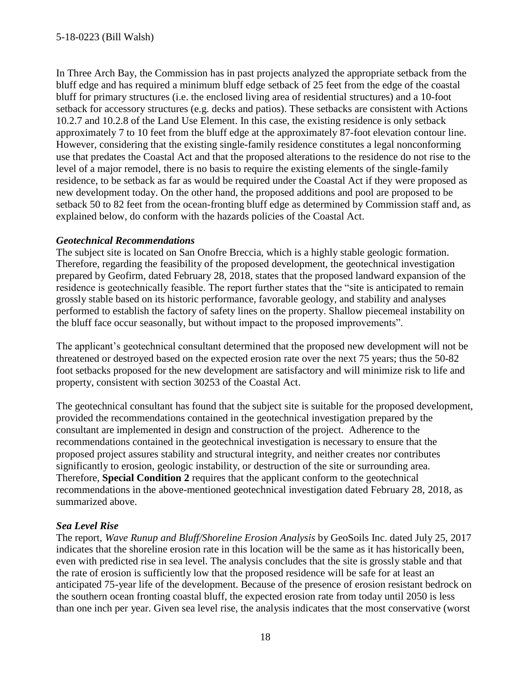In Three Arch Bay, the Commission has in past projects analyzed the appropriate setback from the bluff edge and has required a minimum bluff edge setback of 25 feet from the edge of the coastal bluff for primary structures (i.e. the enclosed living area of residential structures) and a 10-foot setback for accessory structures (e.g. decks and patios). These setbacks are consistent with Actions 10.2.7 and 10.2.8 of the Land Use Element. In this case, the existing residence is only setback approximately 7 to 10 feet from the bluff edge at the approximately 87-foot elevation contour line. However, considering that the existing single-family residence constitutes a legal nonconforming use that predates the Coastal Act and that the proposed alterations to the residence do not rise to the level of a major remodel, there is no basis to require the existing elements of the single-family residence, to be setback as far as would be required under the Coastal Act if they were proposed as new development today. On the other hand, the proposed additions and pool are proposed to be setback 50 to 82 feet from the ocean-fronting bluff edge as determined by Commission staff and, as explained below, do conform with the hazards policies of the Coastal Act.

### *Geotechnical Recommendations*

The subject site is located on San Onofre Breccia, which is a highly stable geologic formation. Therefore, regarding the feasibility of the proposed development, the geotechnical investigation prepared by Geofirm, dated February 28, 2018, states that the proposed landward expansion of the residence is geotechnically feasible. The report further states that the "site is anticipated to remain grossly stable based on its historic performance, favorable geology, and stability and analyses performed to establish the factory of safety lines on the property. Shallow piecemeal instability on the bluff face occur seasonally, but without impact to the proposed improvements".

The applicant's geotechnical consultant determined that the proposed new development will not be threatened or destroyed based on the expected erosion rate over the next 75 years; thus the 50-82 foot setbacks proposed for the new development are satisfactory and will minimize risk to life and property, consistent with section 30253 of the Coastal Act.

The geotechnical consultant has found that the subject site is suitable for the proposed development, provided the recommendations contained in the geotechnical investigation prepared by the consultant are implemented in design and construction of the project. Adherence to the recommendations contained in the geotechnical investigation is necessary to ensure that the proposed project assures stability and structural integrity, and neither creates nor contributes significantly to erosion, geologic instability, or destruction of the site or surrounding area. Therefore, **Special Condition 2** requires that the applicant conform to the geotechnical recommendations in the above-mentioned geotechnical investigation dated February 28, 2018, as summarized above.

### *Sea Level Rise*

The report, *Wave Runup and Bluff/Shoreline Erosion Analysis* by GeoSoils Inc. dated July 25, 2017 indicates that the shoreline erosion rate in this location will be the same as it has historically been, even with predicted rise in sea level. The analysis concludes that the site is grossly stable and that the rate of erosion is sufficiently low that the proposed residence will be safe for at least an anticipated 75-year life of the development. Because of the presence of erosion resistant bedrock on the southern ocean fronting coastal bluff, the expected erosion rate from today until 2050 is less than one inch per year. Given sea level rise, the analysis indicates that the most conservative (worst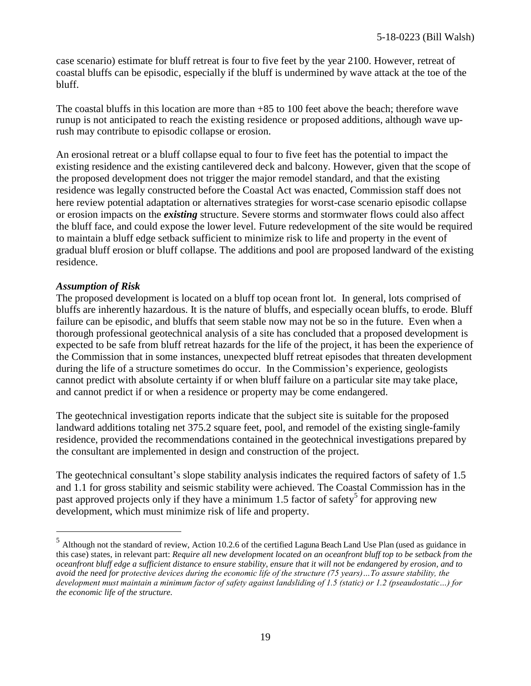case scenario) estimate for bluff retreat is four to five feet by the year 2100. However, retreat of coastal bluffs can be episodic, especially if the bluff is undermined by wave attack at the toe of the bluff.

The coastal bluffs in this location are more than +85 to 100 feet above the beach; therefore wave runup is not anticipated to reach the existing residence or proposed additions, although wave uprush may contribute to episodic collapse or erosion.

An erosional retreat or a bluff collapse equal to four to five feet has the potential to impact the existing residence and the existing cantilevered deck and balcony. However, given that the scope of the proposed development does not trigger the major remodel standard, and that the existing residence was legally constructed before the Coastal Act was enacted, Commission staff does not here review potential adaptation or alternatives strategies for worst-case scenario episodic collapse or erosion impacts on the *existing* structure. Severe storms and stormwater flows could also affect the bluff face, and could expose the lower level. Future redevelopment of the site would be required to maintain a bluff edge setback sufficient to minimize risk to life and property in the event of gradual bluff erosion or bluff collapse. The additions and pool are proposed landward of the existing residence.

#### *Assumption of Risk*

 $\overline{a}$ 

The proposed development is located on a bluff top ocean front lot. In general, lots comprised of bluffs are inherently hazardous. It is the nature of bluffs, and especially ocean bluffs, to erode. Bluff failure can be episodic, and bluffs that seem stable now may not be so in the future. Even when a thorough professional geotechnical analysis of a site has concluded that a proposed development is expected to be safe from bluff retreat hazards for the life of the project, it has been the experience of the Commission that in some instances, unexpected bluff retreat episodes that threaten development during the life of a structure sometimes do occur. In the Commission's experience, geologists cannot predict with absolute certainty if or when bluff failure on a particular site may take place, and cannot predict if or when a residence or property may be come endangered.

The geotechnical investigation reports indicate that the subject site is suitable for the proposed landward additions totaling net 375.2 square feet, pool, and remodel of the existing single-family residence, provided the recommendations contained in the geotechnical investigations prepared by the consultant are implemented in design and construction of the project.

The geotechnical consultant's slope stability analysis indicates the required factors of safety of 1.5 and 1.1 for gross stability and seismic stability were achieved. The Coastal Commission has in the past approved projects only if they have a minimum 1.5 factor of safety<sup>5</sup> for approving new development, which must minimize risk of life and property.

<sup>&</sup>lt;sup>5</sup> Although not the standard of review, Action 10.2.6 of the certified Laguna Beach Land Use Plan (used as guidance in this case) states, in relevant part: *Require all new development located on an oceanfront bluff top to be setback from the oceanfront bluff edge a sufficient distance to ensure stability, ensure that it will not be endangered by erosion, and to avoid the need for protective devices during the economic life of the structure (75 years)…To assure stability, the development must maintain a minimum factor of safety against landsliding of 1.5 (static) or 1.2 (pseaudostatic…) for the economic life of the structure.*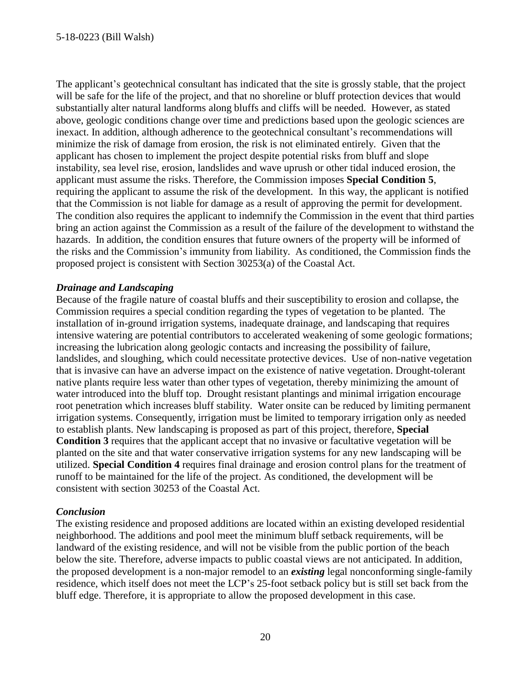The applicant's geotechnical consultant has indicated that the site is grossly stable, that the project will be safe for the life of the project, and that no shoreline or bluff protection devices that would substantially alter natural landforms along bluffs and cliffs will be needed. However, as stated above, geologic conditions change over time and predictions based upon the geologic sciences are inexact. In addition, although adherence to the geotechnical consultant's recommendations will minimize the risk of damage from erosion, the risk is not eliminated entirely. Given that the applicant has chosen to implement the project despite potential risks from bluff and slope instability, sea level rise, erosion, landslides and wave uprush or other tidal induced erosion, the applicant must assume the risks. Therefore, the Commission imposes **Special Condition 5**, requiring the applicant to assume the risk of the development. In this way, the applicant is notified that the Commission is not liable for damage as a result of approving the permit for development. The condition also requires the applicant to indemnify the Commission in the event that third parties bring an action against the Commission as a result of the failure of the development to withstand the hazards. In addition, the condition ensures that future owners of the property will be informed of the risks and the Commission's immunity from liability. As conditioned, the Commission finds the proposed project is consistent with Section 30253(a) of the Coastal Act.

### *Drainage and Landscaping*

Because of the fragile nature of coastal bluffs and their susceptibility to erosion and collapse, the Commission requires a special condition regarding the types of vegetation to be planted. The installation of in-ground irrigation systems, inadequate drainage, and landscaping that requires intensive watering are potential contributors to accelerated weakening of some geologic formations; increasing the lubrication along geologic contacts and increasing the possibility of failure, landslides, and sloughing, which could necessitate protective devices. Use of non-native vegetation that is invasive can have an adverse impact on the existence of native vegetation. Drought-tolerant native plants require less water than other types of vegetation, thereby minimizing the amount of water introduced into the bluff top. Drought resistant plantings and minimal irrigation encourage root penetration which increases bluff stability. Water onsite can be reduced by limiting permanent irrigation systems. Consequently, irrigation must be limited to temporary irrigation only as needed to establish plants. New landscaping is proposed as part of this project, therefore, **Special Condition 3** requires that the applicant accept that no invasive or facultative vegetation will be planted on the site and that water conservative irrigation systems for any new landscaping will be utilized. **Special Condition 4** requires final drainage and erosion control plans for the treatment of runoff to be maintained for the life of the project. As conditioned, the development will be consistent with section 30253 of the Coastal Act.

### *Conclusion*

The existing residence and proposed additions are located within an existing developed residential neighborhood. The additions and pool meet the minimum bluff setback requirements, will be landward of the existing residence, and will not be visible from the public portion of the beach below the site. Therefore, adverse impacts to public coastal views are not anticipated. In addition, the proposed development is a non-major remodel to an *existing* legal nonconforming single-family residence, which itself does not meet the LCP's 25-foot setback policy but is still set back from the bluff edge. Therefore, it is appropriate to allow the proposed development in this case.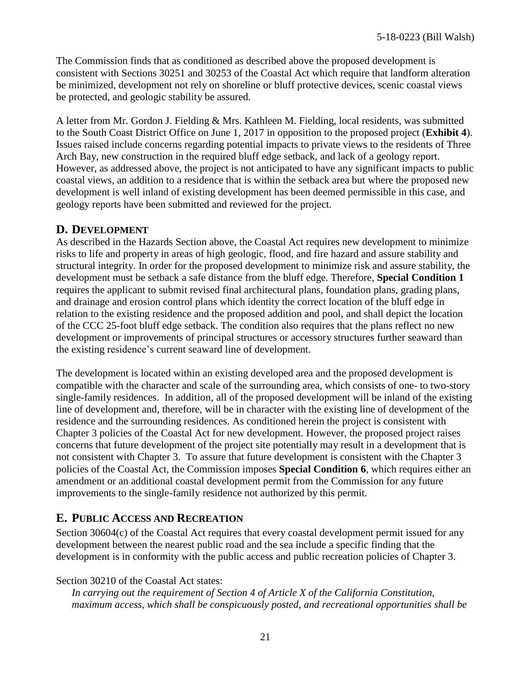The Commission finds that as conditioned as described above the proposed development is consistent with Sections 30251 and 30253 of the Coastal Act which require that landform alteration be minimized, development not rely on shoreline or bluff protective devices, scenic coastal views be protected, and geologic stability be assured.

A letter from Mr. Gordon J. Fielding & Mrs. Kathleen M. Fielding, local residents, was submitted to the South Coast District Office on June 1, 2017 in opposition to the proposed project (**[Exhibit 4](https://documents.coastal.ca.gov/reports/2018/8/f23e/f23e-8-2018-exhibits.pdf)**). Issues raised include concerns regarding potential impacts to private views to the residents of Three Arch Bay, new construction in the required bluff edge setback, and lack of a geology report. However, as addressed above, the project is not anticipated to have any significant impacts to public coastal views, an addition to a residence that is within the setback area but where the proposed new development is well inland of existing development has been deemed permissible in this case, and geology reports have been submitted and reviewed for the project.

### **D. DEVELOPMENT**

As described in the Hazards Section above, the Coastal Act requires new development to minimize risks to life and property in areas of high geologic, flood, and fire hazard and assure stability and structural integrity. In order for the proposed development to minimize risk and assure stability, the development must be setback a safe distance from the bluff edge. Therefore, **Special Condition 1** requires the applicant to submit revised final architectural plans, foundation plans, grading plans, and drainage and erosion control plans which identity the correct location of the bluff edge in relation to the existing residence and the proposed addition and pool, and shall depict the location of the CCC 25-foot bluff edge setback. The condition also requires that the plans reflect no new development or improvements of principal structures or accessory structures further seaward than the existing residence's current seaward line of development.

The development is located within an existing developed area and the proposed development is compatible with the character and scale of the surrounding area, which consists of one- to two-story single-family residences. In addition, all of the proposed development will be inland of the existing line of development and, therefore, will be in character with the existing line of development of the residence and the surrounding residences. As conditioned herein the project is consistent with Chapter 3 policies of the Coastal Act for new development. However, the proposed project raises concerns that future development of the project site potentially may result in a development that is not consistent with Chapter 3. To assure that future development is consistent with the Chapter 3 policies of the Coastal Act, the Commission imposes **Special Condition 6**, which requires either an amendment or an additional coastal development permit from the Commission for any future improvements to the single-family residence not authorized by this permit.

## <span id="page-20-0"></span>**E. PUBLIC ACCESS AND RECREATION**

Section 30604(c) of the Coastal Act requires that every coastal development permit issued for any development between the nearest public road and the sea include a specific finding that the development is in conformity with the public access and public recreation policies of Chapter 3.

### Section 30210 of the Coastal Act states:

*In carrying out the requirement of Section 4 of Article X of the California Constitution, maximum access, which shall be conspicuously posted, and recreational opportunities shall be*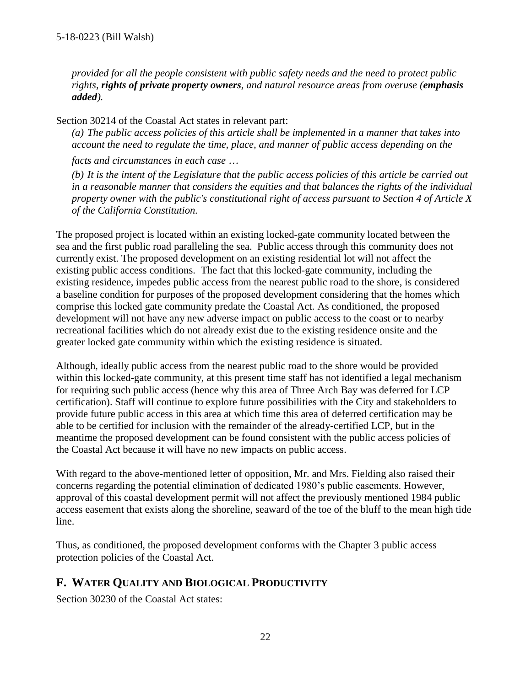*provided for all the people consistent with public safety needs and the need to protect public rights, rights of private property owners, and natural resource areas from overuse (emphasis added).*

Section 30214 of the Coastal Act states in relevant part:

*(a) The public access policies of this article shall be implemented in a manner that takes into account the need to regulate the time, place, and manner of public access depending on the*

*facts and circumstances in each case* …

(b) It is the intent of the Legislature that the public access policies of this article be carried out *in a reasonable manner that considers the equities and that balances the rights of the individual property owner with the public's constitutional right of access pursuant to Section 4 of Article X of the California Constitution.*

The proposed project is located within an existing locked-gate community located between the sea and the first public road paralleling the sea. Public access through this community does not currently exist. The proposed development on an existing residential lot will not affect the existing public access conditions. The fact that this locked-gate community, including the existing residence, impedes public access from the nearest public road to the shore, is considered a baseline condition for purposes of the proposed development considering that the homes which comprise this locked gate community predate the Coastal Act. As conditioned, the proposed development will not have any new adverse impact on public access to the coast or to nearby recreational facilities which do not already exist due to the existing residence onsite and the greater locked gate community within which the existing residence is situated.

Although, ideally public access from the nearest public road to the shore would be provided within this locked-gate community, at this present time staff has not identified a legal mechanism for requiring such public access (hence why this area of Three Arch Bay was deferred for LCP certification). Staff will continue to explore future possibilities with the City and stakeholders to provide future public access in this area at which time this area of deferred certification may be able to be certified for inclusion with the remainder of the already-certified LCP, but in the meantime the proposed development can be found consistent with the public access policies of the Coastal Act because it will have no new impacts on public access.

With regard to the above-mentioned letter of opposition, Mr. and Mrs. Fielding also raised their concerns regarding the potential elimination of dedicated 1980's public easements. However, approval of this coastal development permit will not affect the previously mentioned 1984 public access easement that exists along the shoreline, seaward of the toe of the bluff to the mean high tide line.

Thus, as conditioned, the proposed development conforms with the Chapter 3 public access protection policies of the Coastal Act.

# <span id="page-21-0"></span>**F. WATER QUALITY AND BIOLOGICAL PRODUCTIVITY**

Section 30230 of the Coastal Act states: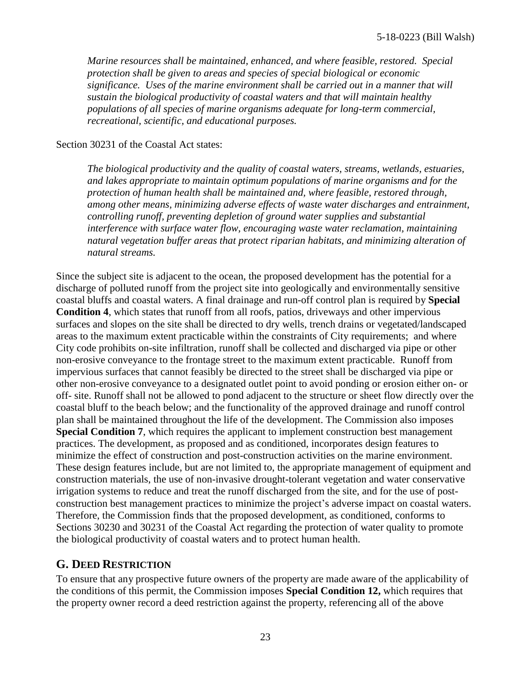*Marine resources shall be maintained, enhanced, and where feasible, restored. Special protection shall be given to areas and species of special biological or economic significance. Uses of the marine environment shall be carried out in a manner that will sustain the biological productivity of coastal waters and that will maintain healthy populations of all species of marine organisms adequate for long-term commercial, recreational, scientific, and educational purposes.*

### Section 30231 of the Coastal Act states:

*The biological productivity and the quality of coastal waters, streams, wetlands, estuaries, and lakes appropriate to maintain optimum populations of marine organisms and for the protection of human health shall be maintained and, where feasible, restored through, among other means, minimizing adverse effects of waste water discharges and entrainment, controlling runoff, preventing depletion of ground water supplies and substantial interference with surface water flow, encouraging waste water reclamation, maintaining natural vegetation buffer areas that protect riparian habitats, and minimizing alteration of natural streams.*

Since the subject site is adjacent to the ocean, the proposed development has the potential for a discharge of polluted runoff from the project site into geologically and environmentally sensitive coastal bluffs and coastal waters. A final drainage and run-off control plan is required by **Special Condition 4**, which states that runoff from all roofs, patios, driveways and other impervious surfaces and slopes on the site shall be directed to dry wells, trench drains or vegetated/landscaped areas to the maximum extent practicable within the constraints of City requirements; and where City code prohibits on-site infiltration, runoff shall be collected and discharged via pipe or other non-erosive conveyance to the frontage street to the maximum extent practicable. Runoff from impervious surfaces that cannot feasibly be directed to the street shall be discharged via pipe or other non-erosive conveyance to a designated outlet point to avoid ponding or erosion either on- or off- site. Runoff shall not be allowed to pond adjacent to the structure or sheet flow directly over the coastal bluff to the beach below; and the functionality of the approved drainage and runoff control plan shall be maintained throughout the life of the development. The Commission also imposes **Special Condition 7**, which requires the applicant to implement construction best management practices. The development, as proposed and as conditioned, incorporates design features to minimize the effect of construction and post-construction activities on the marine environment. These design features include, but are not limited to, the appropriate management of equipment and construction materials, the use of non-invasive drought-tolerant vegetation and water conservative irrigation systems to reduce and treat the runoff discharged from the site, and for the use of postconstruction best management practices to minimize the project's adverse impact on coastal waters. Therefore, the Commission finds that the proposed development, as conditioned, conforms to Sections 30230 and 30231 of the Coastal Act regarding the protection of water quality to promote the biological productivity of coastal waters and to protect human health.

## <span id="page-22-0"></span>**G. DEED RESTRICTION**

To ensure that any prospective future owners of the property are made aware of the applicability of the conditions of this permit, the Commission imposes **Special Condition 12,** which requires that the property owner record a deed restriction against the property, referencing all of the above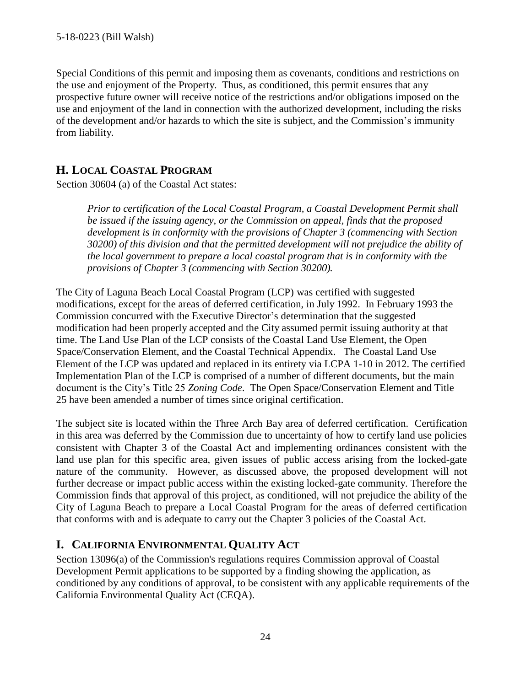Special Conditions of this permit and imposing them as covenants, conditions and restrictions on the use and enjoyment of the Property. Thus, as conditioned, this permit ensures that any prospective future owner will receive notice of the restrictions and/or obligations imposed on the use and enjoyment of the land in connection with the authorized development, including the risks of the development and/or hazards to which the site is subject, and the Commission's immunity from liability.

## <span id="page-23-0"></span>**H. LOCAL COASTAL PROGRAM**

Section 30604 (a) of the Coastal Act states:

*Prior to certification of the Local Coastal Program, a Coastal Development Permit shall be issued if the issuing agency, or the Commission on appeal, finds that the proposed development is in conformity with the provisions of Chapter 3 (commencing with Section 30200) of this division and that the permitted development will not prejudice the ability of the local government to prepare a local coastal program that is in conformity with the provisions of Chapter 3 (commencing with Section 30200).*

The City of Laguna Beach Local Coastal Program (LCP) was certified with suggested modifications, except for the areas of deferred certification, in July 1992. In February 1993 the Commission concurred with the Executive Director's determination that the suggested modification had been properly accepted and the City assumed permit issuing authority at that time. The Land Use Plan of the LCP consists of the Coastal Land Use Element, the Open Space/Conservation Element, and the Coastal Technical Appendix. The Coastal Land Use Element of the LCP was updated and replaced in its entirety via LCPA 1-10 in 2012. The certified Implementation Plan of the LCP is comprised of a number of different documents, but the main document is the City's Title 25 *Zoning Code*. The Open Space/Conservation Element and Title 25 have been amended a number of times since original certification.

The subject site is located within the Three Arch Bay area of deferred certification. Certification in this area was deferred by the Commission due to uncertainty of how to certify land use policies consistent with Chapter 3 of the Coastal Act and implementing ordinances consistent with the land use plan for this specific area, given issues of public access arising from the locked-gate nature of the community. However, as discussed above, the proposed development will not further decrease or impact public access within the existing locked-gate community. Therefore the Commission finds that approval of this project, as conditioned, will not prejudice the ability of the City of Laguna Beach to prepare a Local Coastal Program for the areas of deferred certification that conforms with and is adequate to carry out the Chapter 3 policies of the Coastal Act.

# <span id="page-23-1"></span>**I. CALIFORNIA ENVIRONMENTAL QUALITY ACT**

Section 13096(a) of the Commission's regulations requires Commission approval of Coastal Development Permit applications to be supported by a finding showing the application, as conditioned by any conditions of approval, to be consistent with any applicable requirements of the California Environmental Quality Act (CEQA).